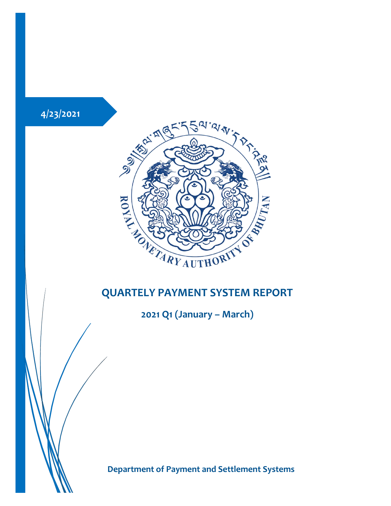

**2021 Q1 (January – March)**

**Department of Payment and Settlement Systems**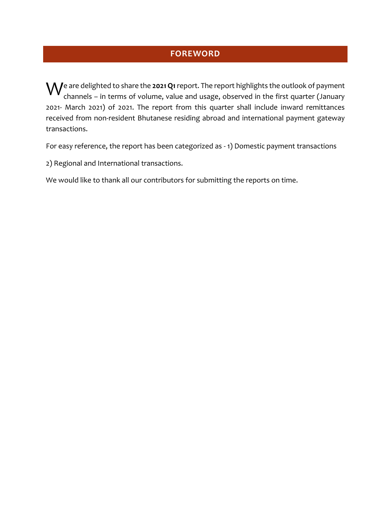### **FOREWORD**

 $\mathsf{W}^\mathsf{e}$  are delighted to share the **2021 Q1** report. The report highlights the outlook of payment channels – in terms of volume, value and usage, observed in the first quarter (January channels – in terms of volume, value and usage, observed in the first quarter (January 2021- March 2021) of 2021. The report from this quarter shall include inward remittances received from non-resident Bhutanese residing abroad and international payment gateway transactions.

For easy reference, the report has been categorized as - 1) Domestic payment transactions

2) Regional and International transactions.

We would like to thank all our contributors for submitting the reports on time.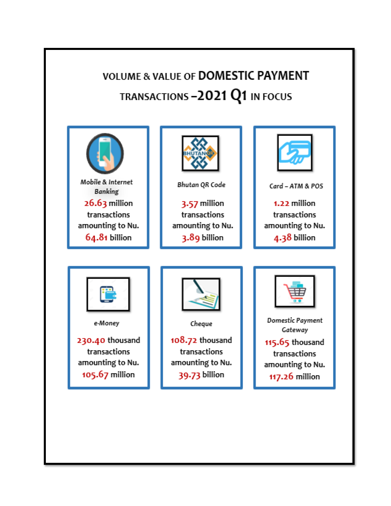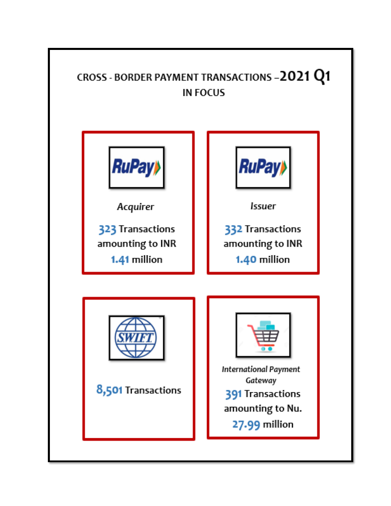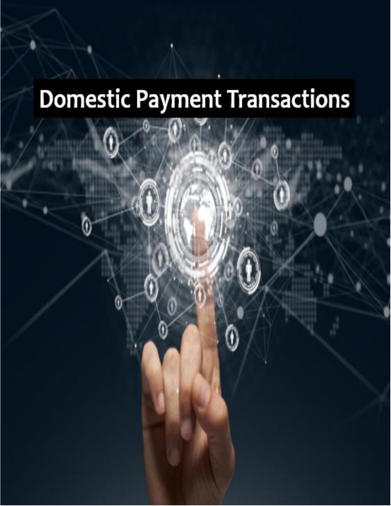# **Domestic Payment Transactions**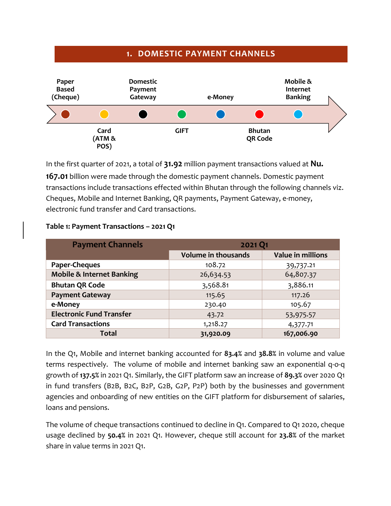### **1. DOMESTIC PAYMENT CHANNELS**



In the first quarter of 2021, a total of **31.92** million payment transactions valued at **Nu. 167.01** billion were made through the domestic payment channels. Domestic payment transactions include transactions effected within Bhutan through the following channels viz. Cheques, Mobile and Internet Banking, QR payments, Payment Gateway, e-money, electronic fund transfer and Card transactions.

| <b>Payment Channels</b>              | 2021 Q1                    |                          |
|--------------------------------------|----------------------------|--------------------------|
|                                      | <b>Volume in thousands</b> | <b>Value in millions</b> |
| Paper-Cheques                        | 108.72                     | 39,737.21                |
| <b>Mobile &amp; Internet Banking</b> | 26,634.53                  | 64,807.37                |
| <b>Bhutan QR Code</b>                | 3,568.81                   | 3,886.11                 |
| <b>Payment Gateway</b>               | 115.65                     | 117.26                   |
| e-Money                              | 230.40                     | 105.67                   |
| <b>Electronic Fund Transfer</b>      | 43.72                      | 53,975.57                |
| <b>Card Transactions</b>             | 1,218.27                   | 4,377.71                 |
| <b>Total</b>                         | 31,920.09                  | 167,006.90               |

#### **Table 1: Payment Transactions – 2021 Q1**

In the Q1, Mobile and internet banking accounted for **83.4%** and **38.8%** in volume and value terms respectively. The volume of mobile and internet banking saw an exponential q-o-q growth of **137.5%** in 2021 Q1. Similarly, the GIFT platform saw an increase of **89.3%** over 2020 Q1 in fund transfers (B2B, B2C, B2P, G2B, G2P, P2P) both by the businesses and government agencies and onboarding of new entities on the GIFT platform for disbursement of salaries, loans and pensions.

The volume of cheque transactions continued to decline in Q1. Compared to Q1 2020, cheque usage declined by **50.4%** in 2021 Q1. However, cheque still account for **23.8%** of the market share in value terms in 2021 Q1.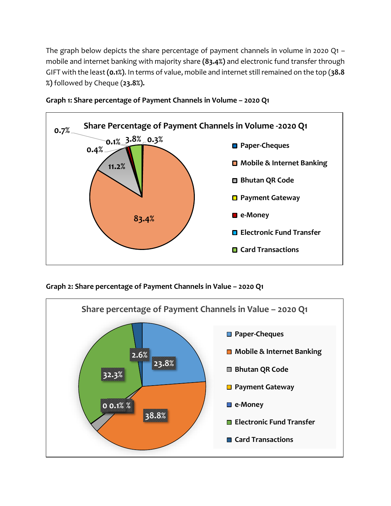The graph below depicts the share percentage of payment channels in volume in 2020 Q1 – mobile and internet banking with majority share **(83.4%)** and electronic fund transfer through GIFT with the least **(0.1%)**. In terms of value, mobile and internet still remained on the top (**38.8 %)** followed by Cheque (**23.8%).**





**Graph 2: Share percentage of Payment Channels in Value – 2020 Q1**

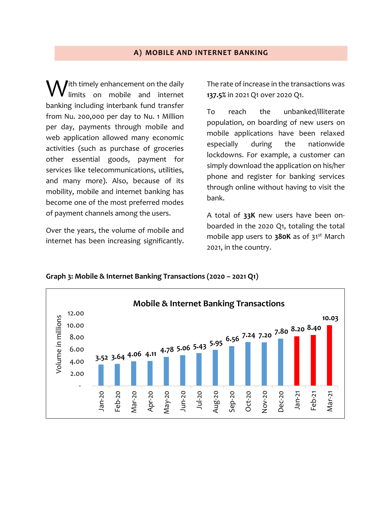#### **A) MOBILE AND INTERNET BANKING**

 $\int$ ith timely enhancement on the daily limits on mobile and internet banking including interbank fund transfer from Nu. 200,000 per day to Nu. 1 Million per day, payments through mobile and web application allowed many economic activities (such as purchase of groceries other essential goods, payment for services like telecommunications, utilities, and many more). Also, because of its mobility, mobile and internet banking has become one of the most preferred modes of payment channels among the users. W

Over the years, the volume of mobile and internet has been increasing significantly.

The rate of increase in the transactions was **137.5%** in 2021 Q1 over 2020 Q1.

To reach the unbanked/illiterate population, on boarding of new users on mobile applications have been relaxed especially during the nationwide lockdowns. For example, a customer can simply download the application on his/her phone and register for banking services through online without having to visit the bank.

A total of **33K** new users have been onboarded in the 2020 Q1, totaling the total mobile app users to **380K** as of 31<sup>st</sup> March 2021, in the country.



**Graph 3: Mobile & Internet Banking Transactions (2020 – 2021 Q1)**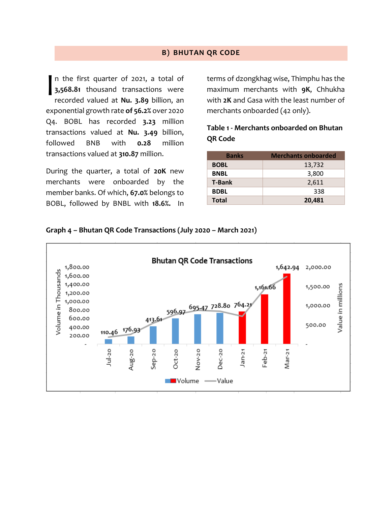#### **B) BHUTAN QR CODE**

n the first quarter of 2021, a total of **3,568.81** thousand transactions were recorded valued at **Nu. 3.89** billion, an exponential growth rate **of 56.2%** over 2020 Q4. BOBL has recorded **3.23** million transactions valued at **Nu. 3.49** billion, followed BNB with **0.28** million transactions valued at **310.87** million. I

During the quarter, a total of **20K** new merchants were onboarded by the member banks. Of which, **67.0%** belongs to BOBL, followed by BNBL with **18.6%.** In terms of dzongkhag wise, Thimphu has the maximum merchants with **9K**, Chhukha with **2K** and Gasa with the least number of merchants onboarded (42 only).

#### **Table 1 - Merchants onboarded on Bhutan QR Code**

| <b>Banks</b>  | <b>Merchants onboarded</b> |
|---------------|----------------------------|
| <b>BOBL</b>   | 13,732                     |
| <b>BNBL</b>   | 3,800                      |
| <b>T-Bank</b> | 2,611                      |
| <b>BDBL</b>   | 338                        |
| <b>Total</b>  | 20,481                     |

**Graph 4 – Bhutan QR Code Transactions (July 2020 – March 2021)**

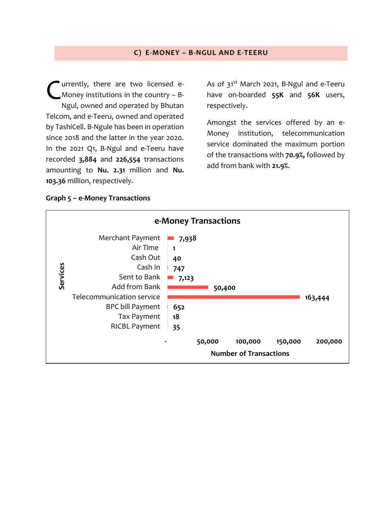#### **C) E-MONEY – B-NGUL AND E-TEERU**

urrently, there are two licensed e-Money institutions in the country – B-Ngul, owned and operated by Bhutan Telcom, and e-Teeru, owned and operated by TashiCell. B-Ngule has been in operation since 2018 and the latter in the year 2020. In the 2021 Q1, B-Ngul and e-Teeru have recorded **3,884** and **226,554** transactions amounting to **Nu. 2.31** million and **Nu. 103.36** million, respectively. C

As of  $31<sup>st</sup>$  March 2021, B-Ngul and e-Teeru have on-boarded **55K** and **56K** users, respectively.

Amongst the services offered by an e-Money institution, telecommunication service dominated the maximum portion of the transactions with **70.9%,** followed by add from bank with **21.9%**.

#### **Graph 5 – e-Money Transactions**

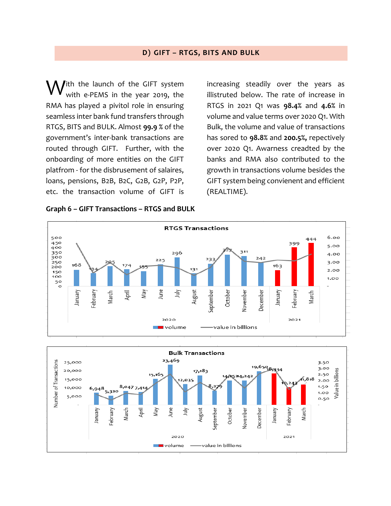#### **D) GIFT – RTGS, BITS AND BULK**

ith the launch of the GIFT system with e-PEMS in the year 2019, the RMA has played a pivitol role in ensuring seamless inter bank fund transfers through RTGS, BITS and BULK. Almost **99.9 %** of the government's inter-bank transactions are routed through GIFT. Further, with the onboarding of more entities on the GIFT platfrom - for the disbrusement of salaires, loans, pensions, B2B, B2C, G2B, G2P, P2P, etc. the transaction volume of GIFT is W

**Graph 6 – GIFT Transactions – RTGS and BULK**

increasing steadily over the years as illistruted below. The rate of increase in RTGS in 2021 Q1 was **98.4%** and **4.6%** in volume and value terms over 2020 Q1. With Bulk, the volume and value of transactions has sored to **98.8%** and **200.5%,** repectively over 2020 Q1. Awarness creadted by the banks and RMA also contributed to the growth in transactions volume besides the GIFT system being convienent and efficient (REALTIME).



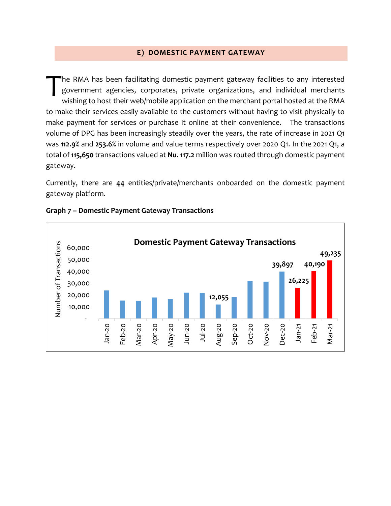#### **E) DOMESTIC PAYMENT GATEWAY**

he RMA has been facilitating domestic payment gateway facilities to any interested government agencies, corporates, private organizations, and individual merchants wishing to host their web/mobile application on the merchant portal hosted at the RMA to make their services easily available to the customers without having to visit physically to make payment for services or purchase it online at their convenience. The transactions volume of DPG has been increasingly steadily over the years, the rate of increase in 2021 Q1 was **112.9%** and **253.6%** in volume and value terms respectively over 2020 Q1. In the 2021 Q1, a total of **115,650** transactions valued at **Nu. 117.2** million was routed through domestic payment gateway. T

Currently, there are **44** entities/private/merchants onboarded on the domestic payment gateway platform.



#### **Graph 7 – Domestic Payment Gateway Transactions**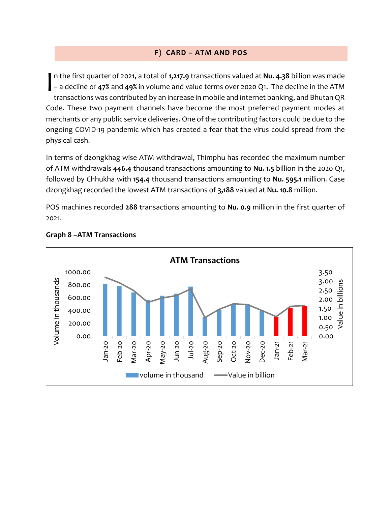#### **F) CARD – ATM AND POS**

n the first quarter of 2021, a total of **1,217.9** transactions valued at **Nu. 4.38** billion was made – a decline of **47%** and **49%** in volume and value terms over 2020 Q1. The decline in the ATM transactions was contributed by an increase in mobile and internet banking, and Bhutan QR Code. These two payment channels have become the most preferred payment modes at merchants or any public service deliveries. One of the contributing factors could be due to the ongoing COVID-19 pandemic which has created a fear that the virus could spread from the physical cash. I

In terms of dzongkhag wise ATM withdrawal, Thimphu has recorded the maximum number of ATM withdrawals **446.4** thousand transactions amounting to **Nu. 1.5** billion in the 2020 Q1, followed by Chhukha with **154.4** thousand transactions amounting to **Nu. 595.1** million. Gase dzongkhag recorded the lowest ATM transactions of **3,188** valued at **Nu. 10.8** million.

POS machines recorded **288** transactions amounting to **Nu. 0.9** million in the first quarter of 2021.



#### **Graph 8 –ATM Transactions**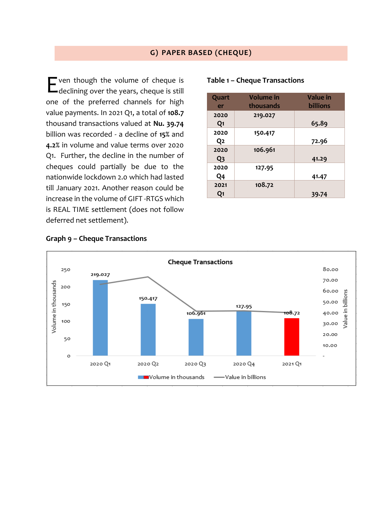#### **G) PAPER BASED (CHEQUE)**

ven though the volume of cheque is **E** ven though the volume of cheque is declining over the years, cheque is still one of the preferred channels for high value payments. In 2021 Q1, a total of **108.7** thousand transactions valued at **Nu. 39.74** billion was recorded - a decline of **15%** and **4.2%** in volume and value terms over 2020 Q1. Further, the decline in the number of cheques could partially be due to the nationwide lockdown 2.0 which had lasted till January 2021. Another reason could be increase in the volume of GIFT -RTGS which is REAL TIME settlement (does not follow deferred net settlement).

| Quart          | <b>Volume</b> in | <b>Value</b> in |
|----------------|------------------|-----------------|
| er             | thousands        | <b>billions</b> |
| 2020           | 219.027          |                 |
| Q <sub>1</sub> |                  | 65.89           |
| 2020           | 150.417          |                 |
| Q2             |                  | 72.96           |
| 2020           | 106.961          |                 |
| Q <sub>3</sub> |                  | 41.29           |
| 2020           | 127.95           |                 |
| Q4             |                  | 41.47           |
| 2021           | 108.72           |                 |
| Q1             |                  | 39.74           |

#### **Table 1 – Cheque Transactions**



#### **Graph 9 – Cheque Transactions**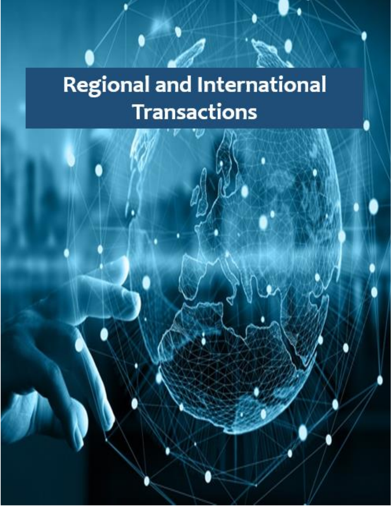## **Regional and International Transactions**

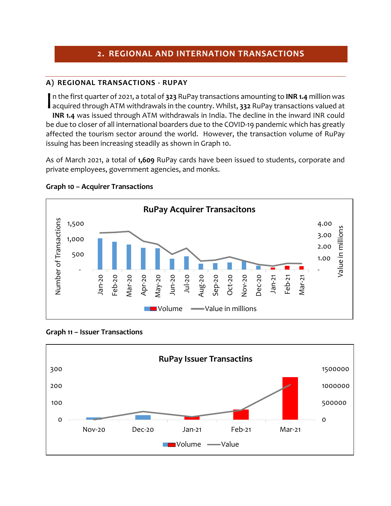#### **2. REGIONAL AND INTERNATION TRANSACTIONS**

#### **A) REGIONAL TRANSACTIONS - RUPAY**

n the first quarter of 2021, a total of **323** RuPay transactions amounting to **INR 1.4** million was In the first quarter of 2021, a total of 323 RuPay transactions amounting to **INR 1.4** million was<br>acquired through ATM withdrawals in the country. Whilst, 332 RuPay transactions valued at **INR 1.4** was issued through ATM withdrawals in India. The decline in the inward INR could be due to closer of all international boarders due to the COVID-19 pandemic which has greatly affected the tourism sector around the world. However, the transaction volume of RuPay issuing has been increasing steadily as shown in Graph 10.

As of March 2021, a total of **1,609** RuPay cards have been issued to students, corporate and private employees, government agencies, and monks.



#### **Graph 10 – Acquirer Transactions**



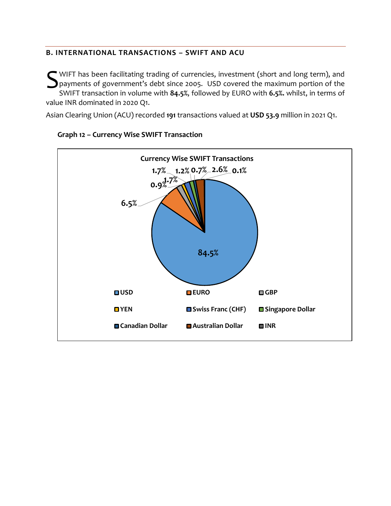#### **B. INTERNATIONAL TRANSACTIONS – SWIFT AND ACU**

WIFT has been facilitating trading of currencies, investment (short and long term), and<br>payments of government's debt since 2005. USD covered the maximum portion of the<br>SWIFT transaction in volume with 84.5% followed by FU **S** payments of government's debt since 2005. USD covered the maximum portion of the SWIFT transaction in volume with **84.5%**, followed by EURO with **6.5%.** whilst, in terms of value INR dominated in 2020 Q1.

Asian Clearing Union (ACU) recorded **191** transactions valued at **USD 53.9** million in 2021 Q1.



#### **Graph 12 – Currency Wise SWIFT Transaction**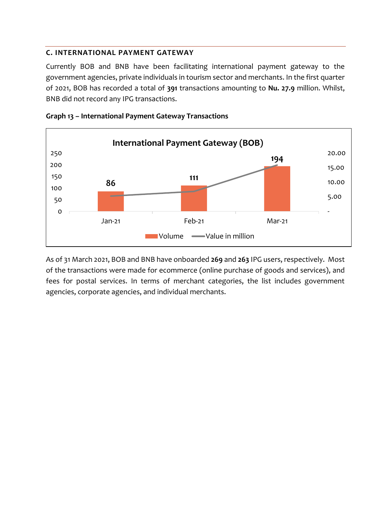#### **C. INTERNATIONAL PAYMENT GATEWAY**

Currently BOB and BNB have been facilitating international payment gateway to the government agencies, private individuals in tourism sector and merchants. In the first quarter of 2021, BOB has recorded a total of **391** transactions amounting to **Nu. 27.9** million. Whilst, BNB did not record any IPG transactions.





As of 31 March 2021, BOB and BNB have onboarded **269** and **263** IPG users, respectively. Most of the transactions were made for ecommerce (online purchase of goods and services), and fees for postal services. In terms of merchant categories, the list includes government agencies, corporate agencies, and individual merchants.